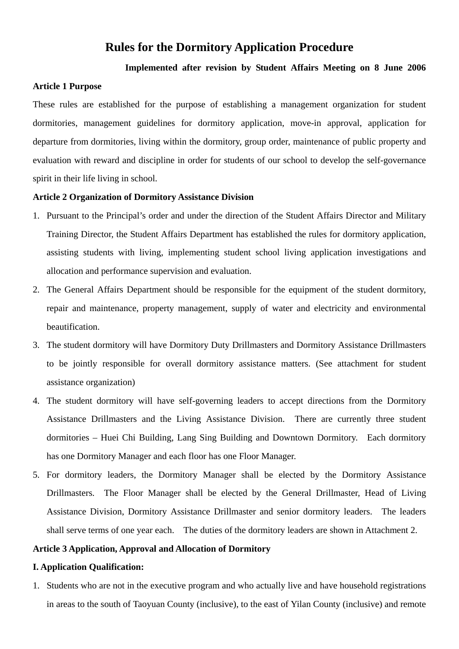# **Rules for the Dormitory Application Procedure**

## **Implemented after revision by Student Affairs Meeting on 8 June 2006**

#### **Article 1 Purpose**

These rules are established for the purpose of establishing a management organization for student dormitories, management guidelines for dormitory application, move-in approval, application for departure from dormitories, living within the dormitory, group order, maintenance of public property and evaluation with reward and discipline in order for students of our school to develop the self-governance spirit in their life living in school.

### **Article 2 Organization of Dormitory Assistance Division**

- 1. Pursuant to the Principal's order and under the direction of the Student Affairs Director and Military Training Director, the Student Affairs Department has established the rules for dormitory application, assisting students with living, implementing student school living application investigations and allocation and performance supervision and evaluation.
- 2. The General Affairs Department should be responsible for the equipment of the student dormitory, repair and maintenance, property management, supply of water and electricity and environmental beautification.
- 3. The student dormitory will have Dormitory Duty Drillmasters and Dormitory Assistance Drillmasters to be jointly responsible for overall dormitory assistance matters. (See attachment for student assistance organization)
- 4. The student dormitory will have self-governing leaders to accept directions from the Dormitory Assistance Drillmasters and the Living Assistance Division. There are currently three student dormitories – Huei Chi Building, Lang Sing Building and Downtown Dormitory. Each dormitory has one Dormitory Manager and each floor has one Floor Manager.
- 5. For dormitory leaders, the Dormitory Manager shall be elected by the Dormitory Assistance Drillmasters. The Floor Manager shall be elected by the General Drillmaster, Head of Living Assistance Division, Dormitory Assistance Drillmaster and senior dormitory leaders. The leaders shall serve terms of one year each. The duties of the dormitory leaders are shown in Attachment 2.

### **Article 3 Application, Approval and Allocation of Dormitory**

#### **I. Application Qualification:**

1. Students who are not in the executive program and who actually live and have household registrations in areas to the south of Taoyuan County (inclusive), to the east of Yilan County (inclusive) and remote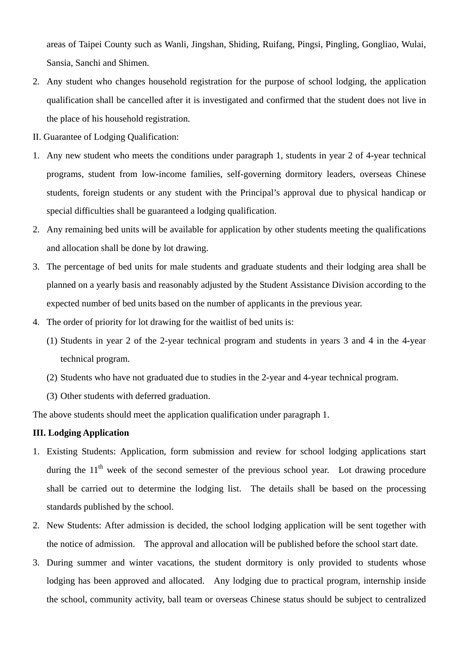areas of Taipei County such as Wanli, Jingshan, Shiding, Ruifang, Pingsi, Pingling, Gongliao, Wulai, Sansia, Sanchi and Shimen.

- 2. Any student who changes household registration for the purpose of school lodging, the application qualification shall be cancelled after it is investigated and confirmed that the student does not live in the place of his household registration.
- II. Guarantee of Lodging Qualification:
- 1. Any new student who meets the conditions under paragraph 1, students in year 2 of 4-year technical programs, student from low-income families, self-governing dormitory leaders, overseas Chinese students, foreign students or any student with the Principal's approval due to physical handicap or special difficulties shall be guaranteed a lodging qualification.
- 2. Any remaining bed units will be available for application by other students meeting the qualifications and allocation shall be done by lot drawing.
- 3. The percentage of bed units for male students and graduate students and their lodging area shall be planned on a yearly basis and reasonably adjusted by the Student Assistance Division according to the expected number of bed units based on the number of applicants in the previous year.
- 4. The order of priority for lot drawing for the waitlist of bed units is:
	- (1) Students in year 2 of the 2-year technical program and students in years 3 and 4 in the 4-year technical program.
	- (2) Students who have not graduated due to studies in the 2-year and 4-year technical program.
	- (3) Other students with deferred graduation.

The above students should meet the application qualification under paragraph 1.

## **III. Lodging Application**

- 1. Existing Students: Application, form submission and review for school lodging applications start during the  $11<sup>th</sup>$  week of the second semester of the previous school year. Lot drawing procedure shall be carried out to determine the lodging list. The details shall be based on the processing standards published by the school.
- 2. New Students: After admission is decided, the school lodging application will be sent together with the notice of admission. The approval and allocation will be published before the school start date.
- 3. During summer and winter vacations, the student dormitory is only provided to students whose lodging has been approved and allocated. Any lodging due to practical program, internship inside the school, community activity, ball team or overseas Chinese status should be subject to centralized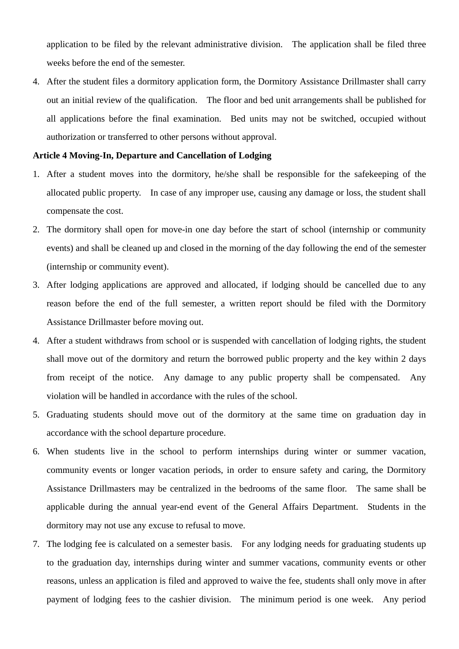application to be filed by the relevant administrative division. The application shall be filed three weeks before the end of the semester.

4. After the student files a dormitory application form, the Dormitory Assistance Drillmaster shall carry out an initial review of the qualification. The floor and bed unit arrangements shall be published for all applications before the final examination. Bed units may not be switched, occupied without authorization or transferred to other persons without approval.

#### **Article 4 Moving-In, Departure and Cancellation of Lodging**

- 1. After a student moves into the dormitory, he/she shall be responsible for the safekeeping of the allocated public property. In case of any improper use, causing any damage or loss, the student shall compensate the cost.
- 2. The dormitory shall open for move-in one day before the start of school (internship or community events) and shall be cleaned up and closed in the morning of the day following the end of the semester (internship or community event).
- 3. After lodging applications are approved and allocated, if lodging should be cancelled due to any reason before the end of the full semester, a written report should be filed with the Dormitory Assistance Drillmaster before moving out.
- 4. After a student withdraws from school or is suspended with cancellation of lodging rights, the student shall move out of the dormitory and return the borrowed public property and the key within 2 days from receipt of the notice. Any damage to any public property shall be compensated. Any violation will be handled in accordance with the rules of the school.
- 5. Graduating students should move out of the dormitory at the same time on graduation day in accordance with the school departure procedure.
- 6. When students live in the school to perform internships during winter or summer vacation, community events or longer vacation periods, in order to ensure safety and caring, the Dormitory Assistance Drillmasters may be centralized in the bedrooms of the same floor. The same shall be applicable during the annual year-end event of the General Affairs Department. Students in the dormitory may not use any excuse to refusal to move.
- 7. The lodging fee is calculated on a semester basis. For any lodging needs for graduating students up to the graduation day, internships during winter and summer vacations, community events or other reasons, unless an application is filed and approved to waive the fee, students shall only move in after payment of lodging fees to the cashier division. The minimum period is one week. Any period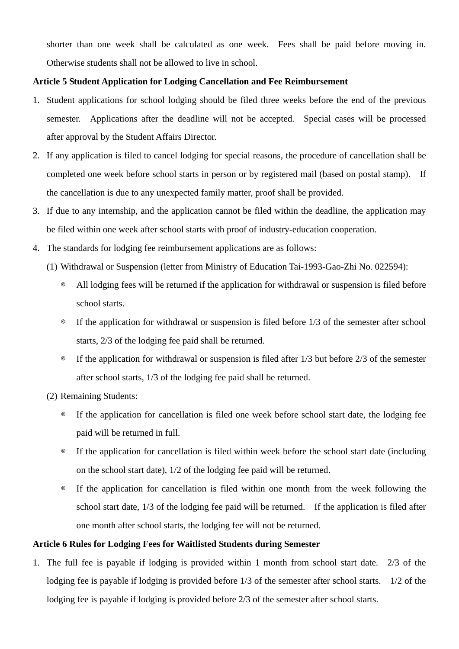shorter than one week shall be calculated as one week. Fees shall be paid before moving in. Otherwise students shall not be allowed to live in school.

## **Article 5 Student Application for Lodging Cancellation and Fee Reimbursement**

- 1. Student applications for school lodging should be filed three weeks before the end of the previous semester. Applications after the deadline will not be accepted. Special cases will be processed after approval by the Student Affairs Director.
- 2. If any application is filed to cancel lodging for special reasons, the procedure of cancellation shall be completed one week before school starts in person or by registered mail (based on postal stamp). If the cancellation is due to any unexpected family matter, proof shall be provided.
- 3. If due to any internship, and the application cannot be filed within the deadline, the application may be filed within one week after school starts with proof of industry-education cooperation.
- 4. The standards for lodging fee reimbursement applications are as follows:
	- (1) Withdrawal or Suspension (letter from Ministry of Education Tai-1993-Gao-Zhi No. 022594):
		- ◎ All lodging fees will be returned if the application for withdrawal or suspension is filed before school starts.
		- ◎ If the application for withdrawal or suspension is filed before 1/3 of the semester after school starts, 2/3 of the lodging fee paid shall be returned.
		- ◎ If the application for withdrawal or suspension is filed after 1/3 but before 2/3 of the semester after school starts, 1/3 of the lodging fee paid shall be returned.
	- (2) Remaining Students:
		- ◎ If the application for cancellation is filed one week before school start date, the lodging fee paid will be returned in full.
		- ◎ If the application for cancellation is filed within week before the school start date (including on the school start date), 1/2 of the lodging fee paid will be returned.
		- ◎ If the application for cancellation is filed within one month from the week following the school start date, 1/3 of the lodging fee paid will be returned. If the application is filed after one month after school starts, the lodging fee will not be returned.

# **Article 6 Rules for Lodging Fees for Waitlisted Students during Semester**

1. The full fee is payable if lodging is provided within 1 month from school start date. 2/3 of the lodging fee is payable if lodging is provided before  $1/3$  of the semester after school starts. 1/2 of the lodging fee is payable if lodging is provided before 2/3 of the semester after school starts.